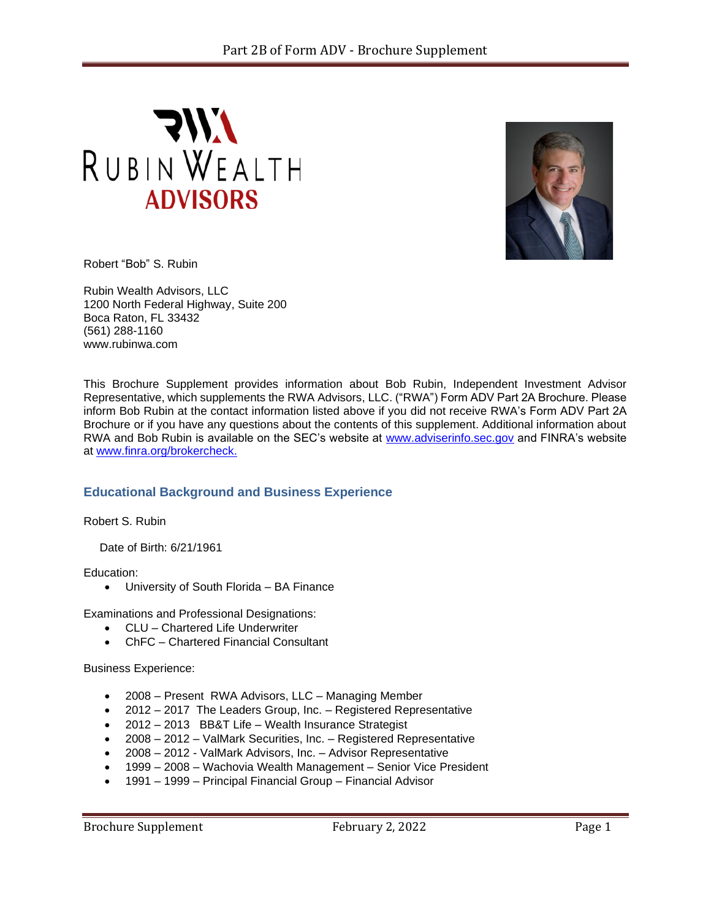



Robert "Bob" S. Rubin

Rubin Wealth Advisors, LLC 1200 North Federal Highway, Suite 200 Boca Raton, FL 33432 (561) 288-1160 www.rubinwa.com

This Brochure Supplement provides information about Bob Rubin, Independent Investment Advisor Representative, which supplements the RWA Advisors, LLC. ("RWA") Form ADV Part 2A Brochure. Please inform Bob Rubin at the contact information listed above if you did not receive RWA's Form ADV Part 2A Brochure or if you have any questions about the contents of this supplement. Additional information about RWA and Bob Rubin is available on the SEC's website at [www.adviserinfo.sec.gov](http://www.adviserinfo.sec.gov/) and FINRA's website at [www.finra.org/brokercheck.](http://www.finra.org/brokercheck)

# **Educational Background and Business Experience**

Robert S. Rubin

Date of Birth: 6/21/1961

Education:

• University of South Florida – BA Finance

Examinations and Professional Designations:

- CLU Chartered Life Underwriter
- ChFC Chartered Financial Consultant

Business Experience:

- 2008 Present RWA Advisors, LLC Managing Member
- 2012 2017 The Leaders Group, Inc. Registered Representative
- 2012 2013 BB&T Life Wealth Insurance Strategist
- 2008 2012 ValMark Securities, Inc. Registered Representative
- 2008 2012 ValMark Advisors, Inc. Advisor Representative
- 1999 2008 Wachovia Wealth Management Senior Vice President
- 1991 1999 Principal Financial Group Financial Advisor